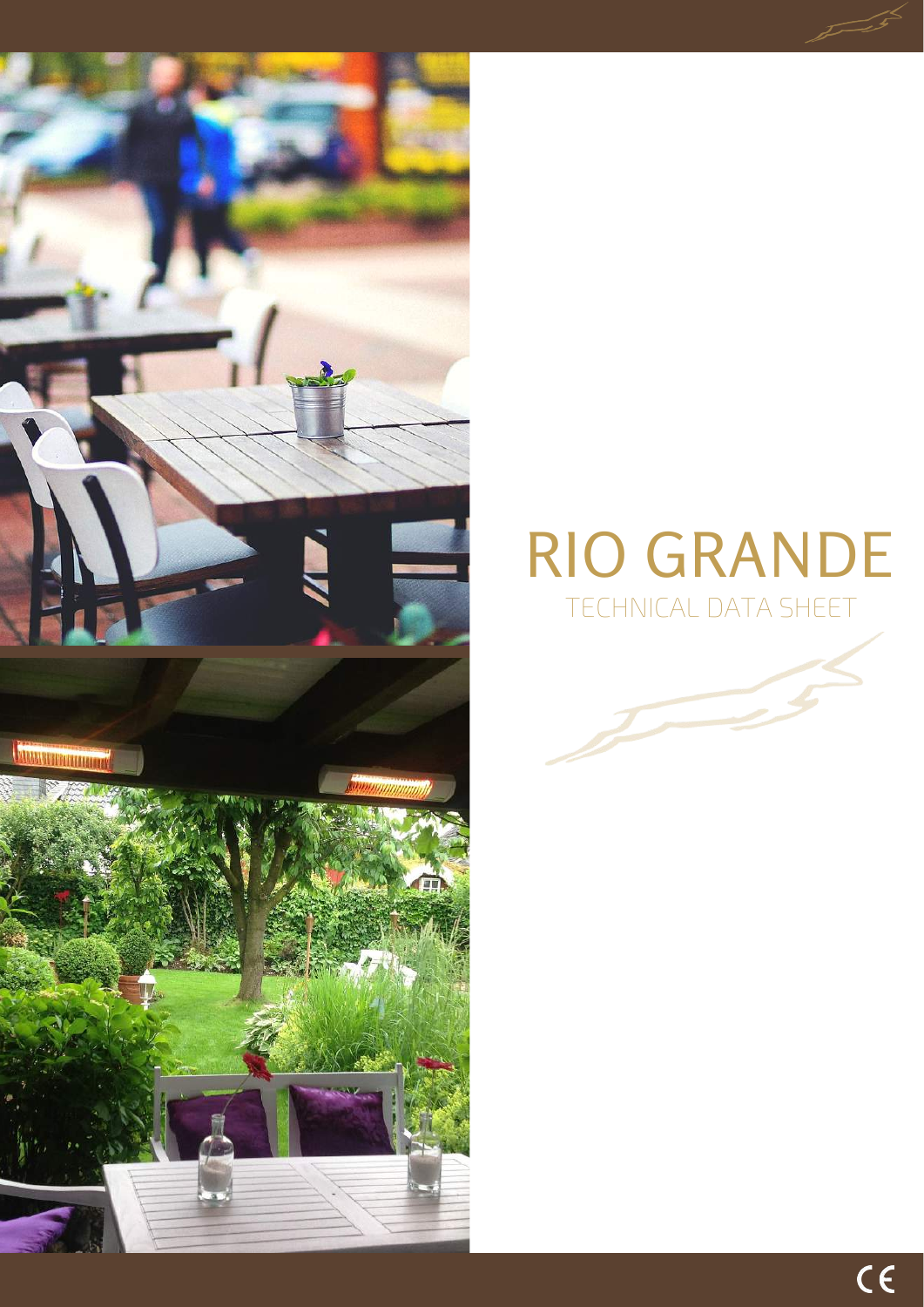

# RIO GRANDE TECHNICAL DATA SHEET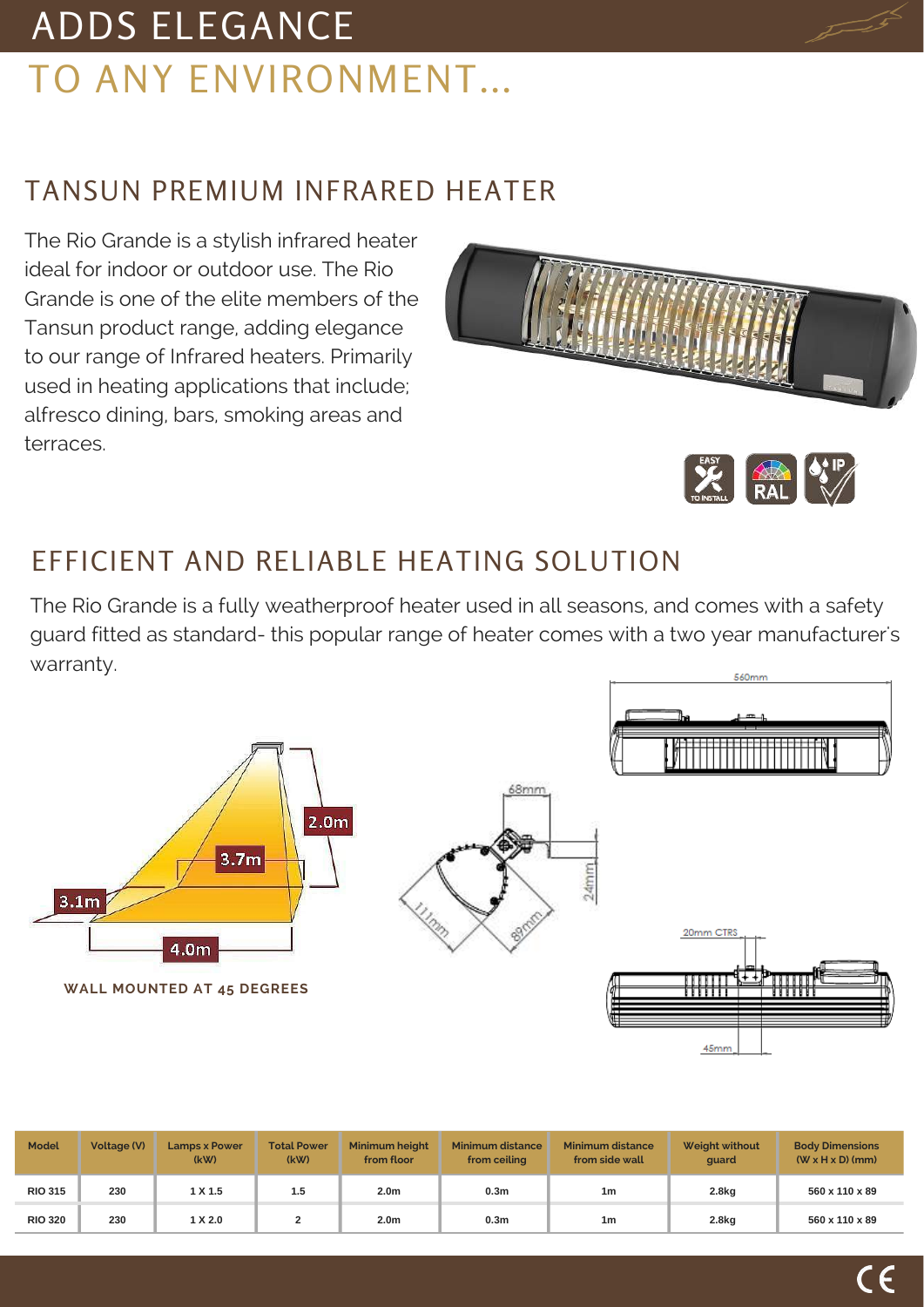## ADDS ELEGANCE TO ANY ENVIRONMENT...

### TANSUN PREMIUM INFRARED HEATER

The Rio Grande is a stylish infrared heater ideal for indoor or outdoor use. The Rio Grande is one of the elite members of the Tansun product range, adding elegance to our range of Infrared heaters. Primarily used in heating applications that include; alfresco dining, bars, smoking areas and terraces.



### EFFICIENT AND RELIABLE HEATING SOLUTION

The Rio Grande is a fully weatherproof heater used in all seasons, and comes with a safety guard fitted as standard- this popular range of heater comes with a two year manufacturer's warranty.



| <b>Model</b>   | Voltage (V) | <b>Lamps x Power</b><br>(kW) | <b>Total Power</b><br>(kW) | Minimum height<br>from floor | <b>Minimum distance</b><br>from ceiling | <b>Minimum distance</b><br>from side wall | <b>Weight without</b><br>quard | <b>Body Dimensions</b><br>$(W \times H \times D)$ (mm) |
|----------------|-------------|------------------------------|----------------------------|------------------------------|-----------------------------------------|-------------------------------------------|--------------------------------|--------------------------------------------------------|
| <b>RIO 315</b> | 230         | 1 X 1.5                      | 1.5                        | 2.0 <sub>m</sub>             | 0.3 <sub>m</sub>                        | 1 <sub>m</sub>                            | 2.8 <sub>kq</sub>              | 560 x 110 x 89                                         |
| <b>RIO 320</b> | 230         | $1 \times 2.0$               |                            | 2.0 <sub>m</sub>             | 0.3 <sub>m</sub>                        | 1m                                        | 2.8 <sub>kq</sub>              | $560 \times 110 \times 89$                             |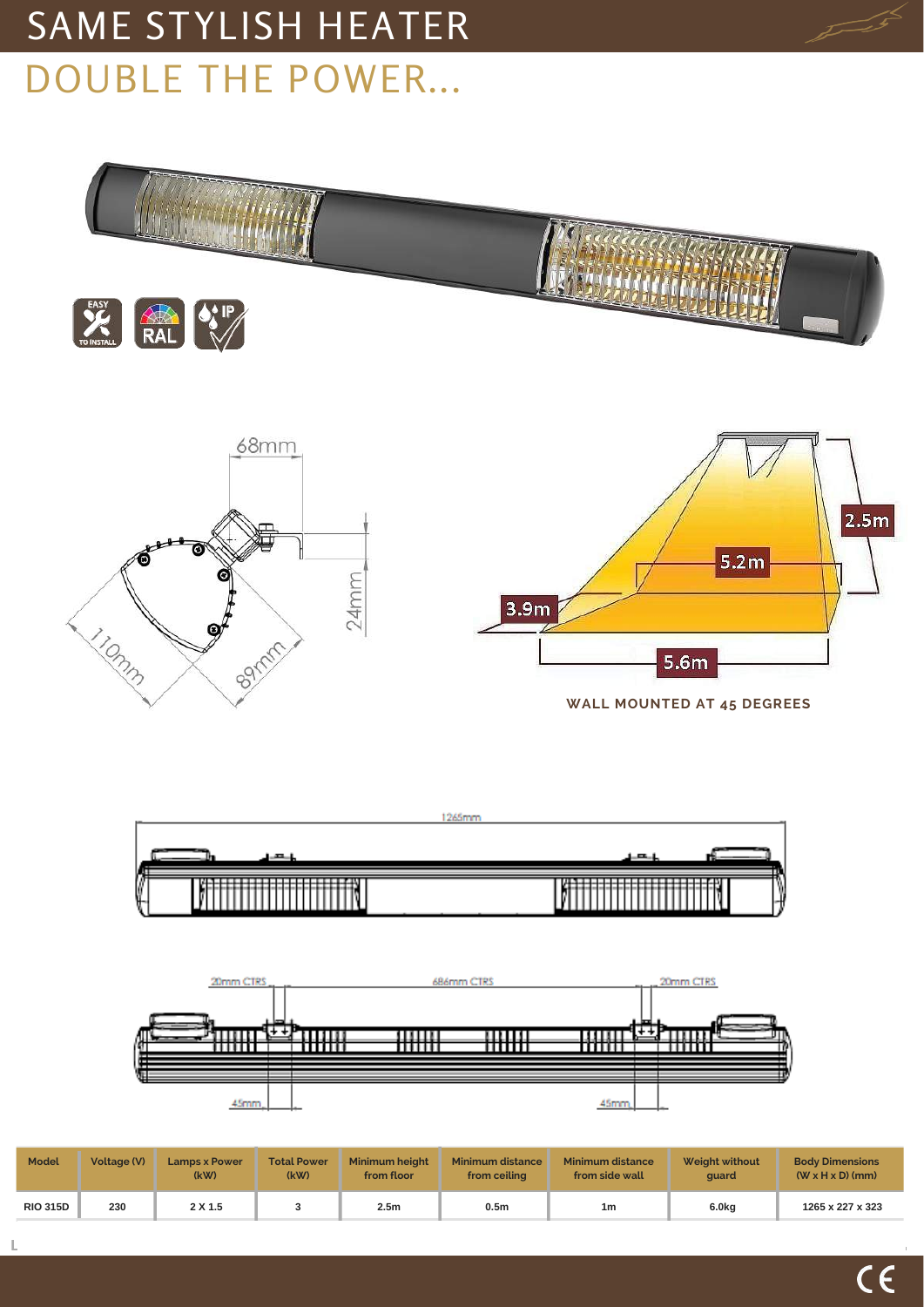# SAME STYLISH HEATER DOUBLE THE POWER...







| <b>Model</b>    | Voltage (V) | <b>Lamps x Power</b><br>(kW) | <b>Total Power</b><br>(kW) | <b>Minimum height</b><br>from floor | <b>Minimum distance</b><br>from ceiling | <b>Minimum distance</b><br>from side wall | <b>Weight without</b><br>quard | <b>Body Dimensions</b><br>$(W \times H \times D)$ (mm) |
|-----------------|-------------|------------------------------|----------------------------|-------------------------------------|-----------------------------------------|-------------------------------------------|--------------------------------|--------------------------------------------------------|
| <b>RIO 315D</b> | 230         | 2 X 1.5                      |                            | 2.5 <sub>m</sub>                    | 0.5 <sub>m</sub>                        | 1 <sub>m</sub>                            | 6.0kg                          | 1265 x 227 x 323                                       |

 $\mathbf{L}%$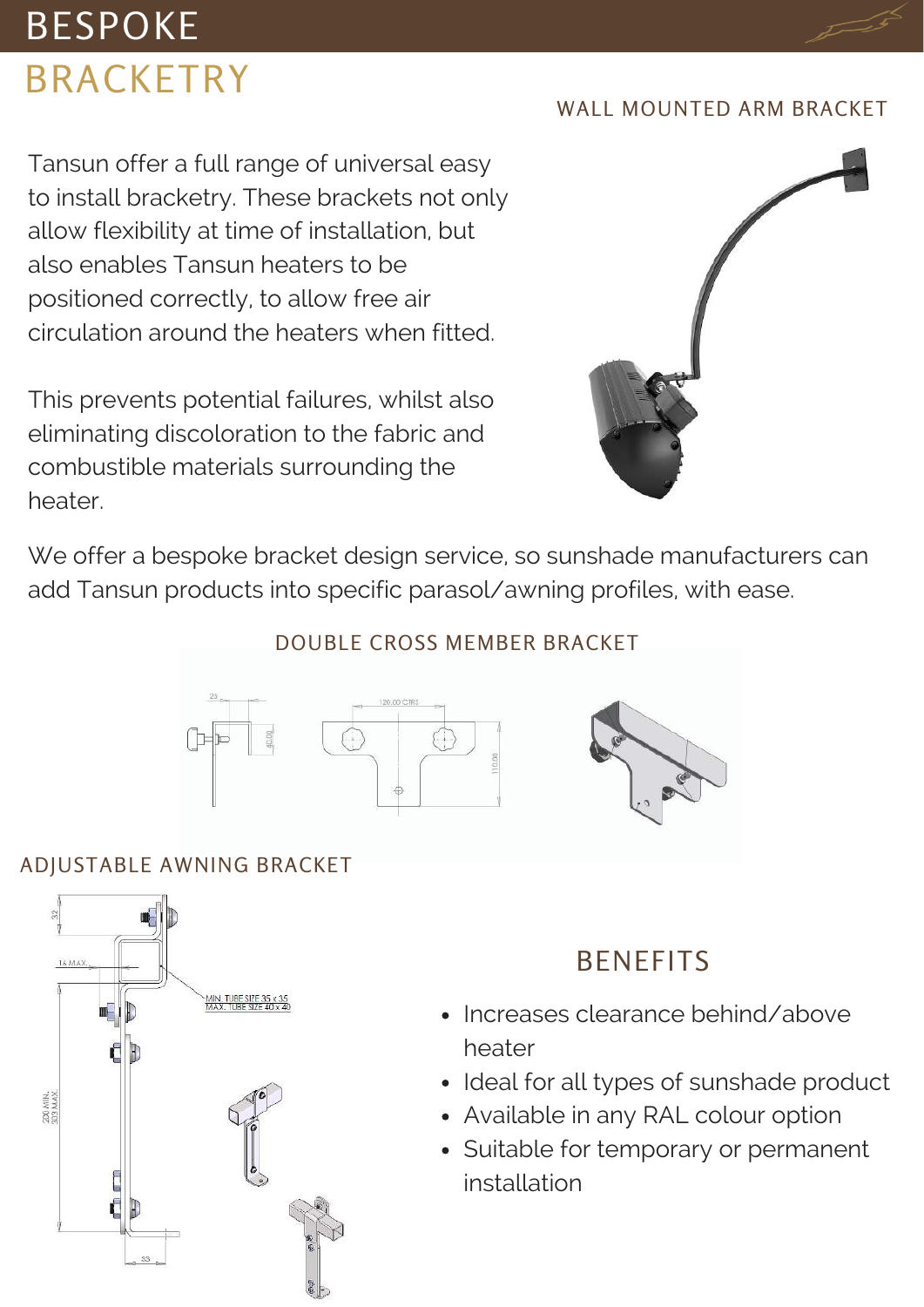## BESPOKE BRACKETRY

#### WALL MOUNTED ARM BRACKET

Tansun offer a full range of universal easy to install bracketry. These brackets not only allow flexibility at time of installation, but also enables Tansun heaters to be positioned correctly, to allow free air circulation around the heaters when fitted.

This prevents potential failures, whilst also eliminating discoloration to the fabric and combustible materials surrounding the heater.



We offer a bespoke bracket design service, so sunshade manufacturers can add Tansun products into specific parasol/awning profiles, with ease.

#### DOUBLE CROSS MEMBER BRACKET



### ADJUSTABLE AWNING BRACKET



### **BENEFITS**

- Increases clearance behind/above heater
- Ideal for all types of sunshade product
- Available in any RAL colour option
- Suitable for temporary or permanent installation